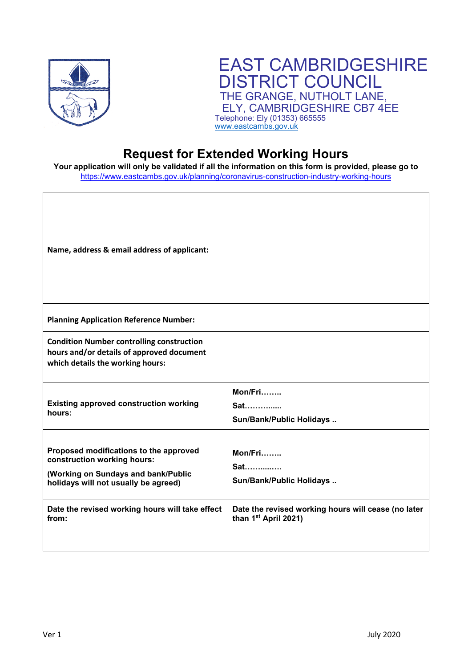

## EAST CAMBRIDGESHIRE DISTRICT COUNCIL THE GRANGE, NUTHOLT LANE, ELY, CAMBRIDGESHIRE CB7 4EE Telephone: Ely (01353) 665555 [www.eastcambs.gov.uk](http://www.eastcambs.gov.uk/)

## **Request for Extended Working Hours**

**Your application will only be validated if all the information on this form is provided, please go to**  <https://www.eastcambs.gov.uk/planning/coronavirus-construction-industry-working-hours>

| Name, address & email address of applicant:                                                                                                          |                                                                                         |
|------------------------------------------------------------------------------------------------------------------------------------------------------|-----------------------------------------------------------------------------------------|
| <b>Planning Application Reference Number:</b>                                                                                                        |                                                                                         |
| <b>Condition Number controlling construction</b><br>hours and/or details of approved document<br>which details the working hours:                    |                                                                                         |
| <b>Existing approved construction working</b><br>hours:                                                                                              | Mon/Fri<br>Sat<br>Sun/Bank/Public Holidays                                              |
| Proposed modifications to the approved<br>construction working hours:<br>(Working on Sundays and bank/Public<br>holidays will not usually be agreed) | Mon/Fri<br><b>Sat</b><br>Sun/Bank/Public Holidays                                       |
| Date the revised working hours will take effect<br>from:                                                                                             | Date the revised working hours will cease (no later<br>than 1 <sup>st</sup> April 2021) |